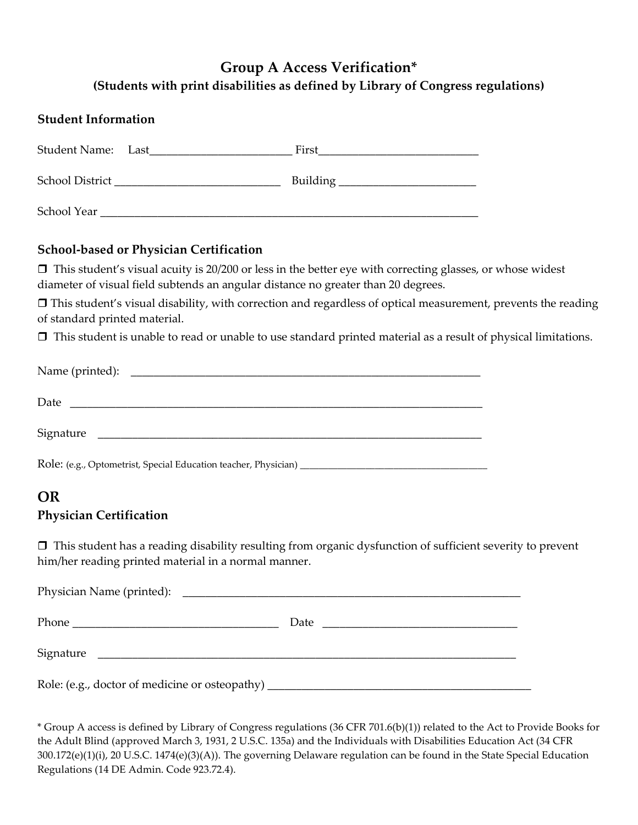# **Group A Access Verification\* (Students with print disabilities as defined by Library of Congress regulations)**

| <b>Student Information</b> |  |                                    |  |  |
|----------------------------|--|------------------------------------|--|--|
|                            |  | First                              |  |  |
| School District            |  | Building _________________________ |  |  |
| School Year                |  |                                    |  |  |

#### **School-based or Physician Certification**

 $\Box$  This student's visual acuity is 20/200 or less in the better eye with correcting glasses, or whose widest diameter of visual field subtends an angular distance no greater than 20 degrees.

 This student's visual disability, with correction and regardless of optical measurement, prevents the reading of standard printed material.

 $\Box$  This student is unable to read or unable to use standard printed material as a result of physical limitations.

| Date      |
|-----------|
| Signature |
|           |

### **OR**

#### **Physician Certification**

 This student has a reading disability resulting from organic dysfunction of sufficient severity to prevent him/her reading printed material in a normal manner.

|                                                                                  | Date |
|----------------------------------------------------------------------------------|------|
|                                                                                  |      |
| Role: (e.g., doctor of medicine or osteopathy) _________________________________ |      |

\* Group A access is defined by Library of Congress regulations (36 CFR 701.6(b)(1)) related to the Act to Provide Books for the Adult Blind (approved March 3, 1931, 2 U.S.C. 135a) and the Individuals with Disabilities Education Act (34 CFR 300.172(e)(1)(i), 20 U.S.C. 1474(e)(3)(A)). The governing Delaware regulation can be found in the State Special Education Regulations (14 DE Admin. Code 923.72.4).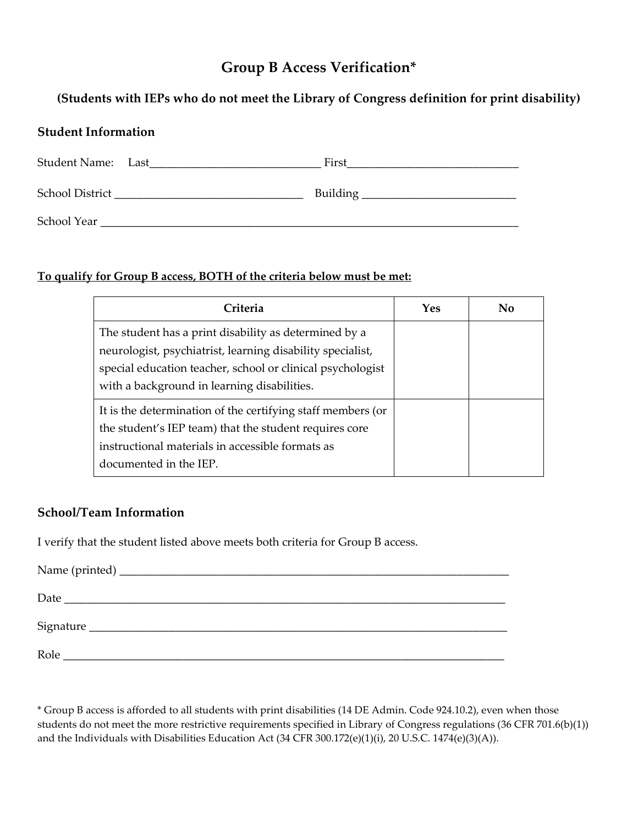## **Group B Access Verification\***

### **(Students with IEPs who do not meet the Library of Congress definition for print disability)**

#### **Student Information**

| Student Name: Last | First           |
|--------------------|-----------------|
| School District    | <b>Building</b> |
| School Year        |                 |

#### **To qualify for Group B access, BOTH of the criteria below must be met:**

| Criteria                                                                                                                                                                                                                         | Yes | No |
|----------------------------------------------------------------------------------------------------------------------------------------------------------------------------------------------------------------------------------|-----|----|
| The student has a print disability as determined by a<br>neurologist, psychiatrist, learning disability specialist,<br>special education teacher, school or clinical psychologist<br>with a background in learning disabilities. |     |    |
| It is the determination of the certifying staff members (or<br>the student's IEP team) that the student requires core<br>instructional materials in accessible formats as<br>documented in the IEP.                              |     |    |

### **School/Team Information**

I verify that the student listed above meets both criteria for Group B access.

| Date |  |  |  |
|------|--|--|--|
|      |  |  |  |
|      |  |  |  |
|      |  |  |  |
| Role |  |  |  |

\* Group B access is afforded to all students with print disabilities (14 DE Admin. Code 924.10.2), even when those students do not meet the more restrictive requirements specified in Library of Congress regulations (36 CFR 701.6(b)(1)) and the Individuals with Disabilities Education Act (34 CFR 300.172(e)(1)(i), 20 U.S.C. 1474(e)(3)(A)).